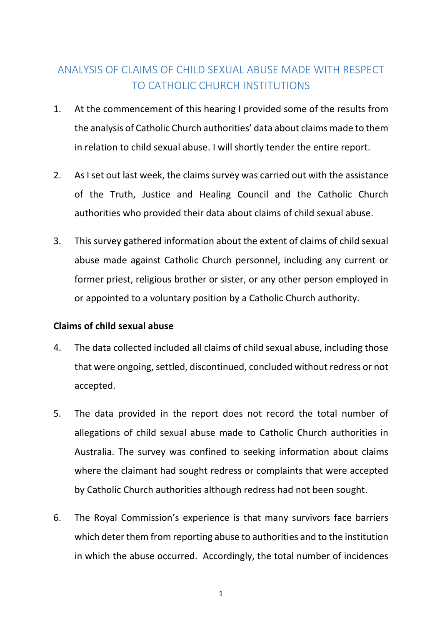# ANALYSIS OF CLAIMS OF CHILD SEXUAL ABUSE MADE WITH RESPECT TO CATHOLIC CHURCH INSTITUTIONS

- 1. At the commencement of this hearing I provided some of the results from the analysis of Catholic Church authorities' data about claims made to them in relation to child sexual abuse. I will shortly tender the entire report.
- 2. As I set out last week, the claims survey was carried out with the assistance of the Truth, Justice and Healing Council and the Catholic Church authorities who provided their data about claims of child sexual abuse.
- 3. This survey gathered information about the extent of claims of child sexual abuse made against Catholic Church personnel, including any current or former priest, religious brother or sister, or any other person employed in or appointed to a voluntary position by a Catholic Church authority.

# **Claims of child sexual abuse**

- 4. The data collected included all claims of child sexual abuse, including those that were ongoing, settled, discontinued, concluded without redress or not accepted.
- 5. The data provided in the report does not record the total number of allegations of child sexual abuse made to Catholic Church authorities in Australia. The survey was confined to seeking information about claims where the claimant had sought redress or complaints that were accepted by Catholic Church authorities although redress had not been sought.
- 6. The Royal Commission's experience is that many survivors face barriers which deter them from reporting abuse to authorities and to the institution in which the abuse occurred. Accordingly, the total number of incidences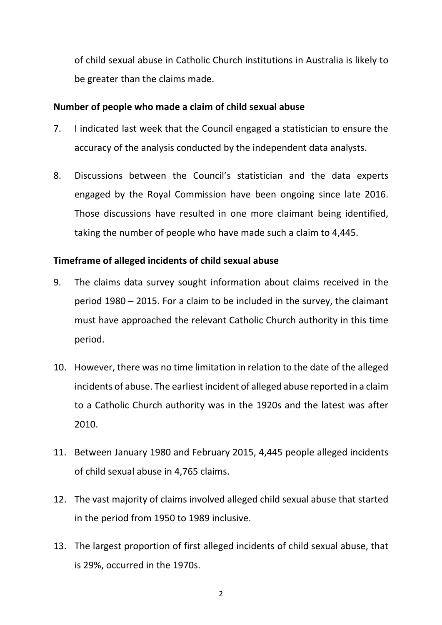of child sexual abuse in Catholic Church institutions in Australia is likely to be greater than the claims made.

## **Number of people who made a claim of child sexual abuse**

- 7. I indicated last week that the Council engaged a statistician to ensure the accuracy of the analysis conducted by the independent data analysts.
- 8. Discussions between the Council's statistician and the data experts engaged by the Royal Commission have been ongoing since late 2016. Those discussions have resulted in one more claimant being identified, taking the number of people who have made such a claim to 4,445.

### **Timeframe of alleged incidents of child sexual abuse**

- 9. The claims data survey sought information about claims received in the period 1980 – 2015. For a claim to be included in the survey, the claimant must have approached the relevant Catholic Church authority in this time period.
- 10. However, there was no time limitation in relation to the date of the alleged incidents of abuse. The earliest incident of alleged abuse reported in a claim to a Catholic Church authority was in the 1920s and the latest was after 2010.
- 11. Between January 1980 and February 2015, 4,445 people alleged incidents of child sexual abuse in 4,765 claims.
- 12. The vast majority of claims involved alleged child sexual abuse that started in the period from 1950 to 1989 inclusive.
- 13. The largest proportion of first alleged incidents of child sexual abuse, that is 29%, occurred in the 1970s.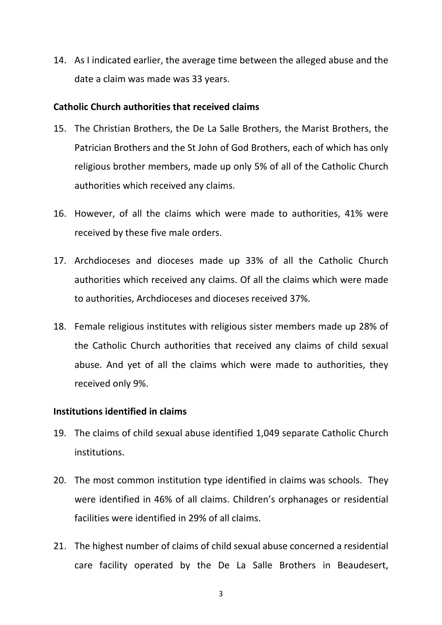14. As I indicated earlier, the average time between the alleged abuse and the date a claim was made was 33 years.

#### **Catholic Church authorities that received claims**

- 15. The Christian Brothers, the De La Salle Brothers, the Marist Brothers, the Patrician Brothers and the St John of God Brothers, each of which has only religious brother members, made up only 5% of all of the Catholic Church authorities which received any claims.
- 16. However, of all the claims which were made to authorities, 41% were received by these five male orders.
- 17. Archdioceses and dioceses made up 33% of all the Catholic Church authorities which received any claims. Of all the claims which were made to authorities, Archdioceses and dioceses received 37%.
- 18. Female religious institutes with religious sister members made up 28% of the Catholic Church authorities that received any claims of child sexual abuse. And yet of all the claims which were made to authorities, they received only 9%.

#### **Institutions identified in claims**

- 19. The claims of child sexual abuse identified 1,049 separate Catholic Church institutions.
- 20. The most common institution type identified in claims was schools. They were identified in 46% of all claims. Children's orphanages or residential facilities were identified in 29% of all claims.
- 21. The highest number of claims of child sexual abuse concerned a residential care facility operated by the De La Salle Brothers in Beaudesert,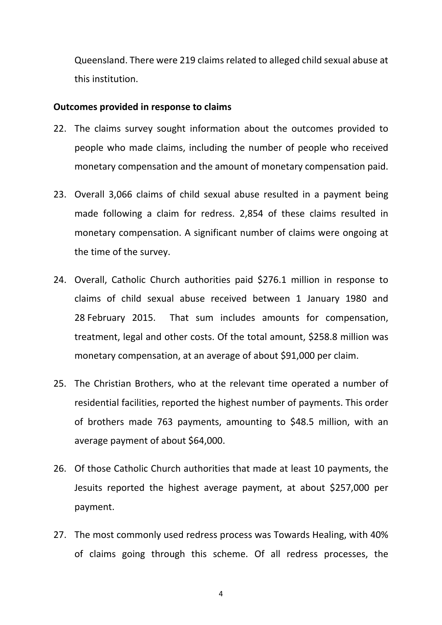Queensland. There were 219 claims related to alleged child sexual abuse at this institution.

#### **Outcomes provided in response to claims**

- 22. The claims survey sought information about the outcomes provided to people who made claims, including the number of people who received monetary compensation and the amount of monetary compensation paid.
- 23. Overall 3,066 claims of child sexual abuse resulted in a payment being made following a claim for redress. 2,854 of these claims resulted in monetary compensation. A significant number of claims were ongoing at the time of the survey.
- 24. Overall, Catholic Church authorities paid \$276.1 million in response to claims of child sexual abuse received between 1 January 1980 and 28 February 2015. That sum includes amounts for compensation, treatment, legal and other costs. Of the total amount, \$258.8 million was monetary compensation, at an average of about \$91,000 per claim.
- 25. The Christian Brothers, who at the relevant time operated a number of residential facilities, reported the highest number of payments. This order of brothers made 763 payments, amounting to \$48.5 million, with an average payment of about \$64,000.
- 26. Of those Catholic Church authorities that made at least 10 payments, the Jesuits reported the highest average payment, at about \$257,000 per payment.
- 27. The most commonly used redress process was Towards Healing, with 40% of claims going through this scheme. Of all redress processes, the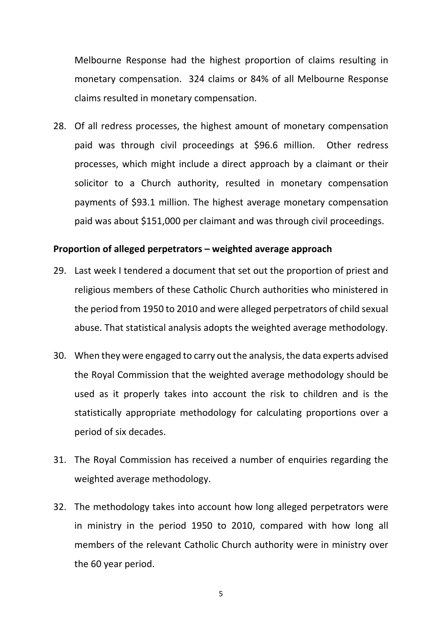Melbourne Response had the highest proportion of claims resulting in monetary compensation. 324 claims or 84% of all Melbourne Response claims resulted in monetary compensation.

28. Of all redress processes, the highest amount of monetary compensation paid was through civil proceedings at \$96.6 million. Other redress processes, which might include a direct approach by a claimant or their solicitor to a Church authority, resulted in monetary compensation payments of \$93.1 million. The highest average monetary compensation paid was about \$151,000 per claimant and was through civil proceedings.

#### **Proportion of alleged perpetrators – weighted average approach**

- 29. Last week I tendered a document that set out the proportion of priest and religious members of these Catholic Church authorities who ministered in the period from 1950 to 2010 and were alleged perpetrators of child sexual abuse. That statistical analysis adopts the weighted average methodology.
- 30. When they were engaged to carry out the analysis, the data experts advised the Royal Commission that the weighted average methodology should be used as it properly takes into account the risk to children and is the statistically appropriate methodology for calculating proportions over a period of six decades.
- 31. The Royal Commission has received a number of enquiries regarding the weighted average methodology.
- 32. The methodology takes into account how long alleged perpetrators were in ministry in the period 1950 to 2010, compared with how long all members of the relevant Catholic Church authority were in ministry over the 60 year period.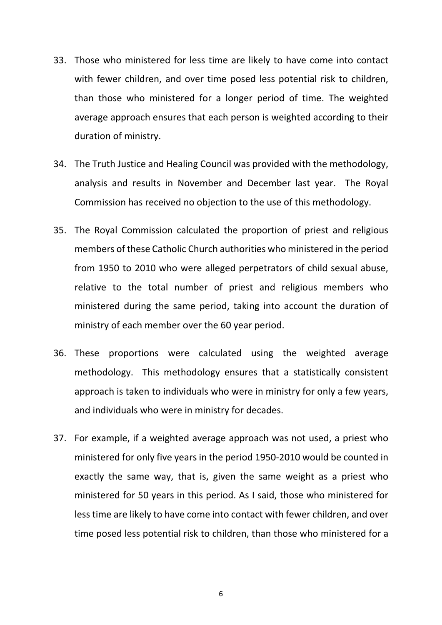- 33. Those who ministered for less time are likely to have come into contact with fewer children, and over time posed less potential risk to children, than those who ministered for a longer period of time. The weighted average approach ensures that each person is weighted according to their duration of ministry.
- 34. The Truth Justice and Healing Council was provided with the methodology, analysis and results in November and December last year. The Royal Commission has received no objection to the use of this methodology.
- 35. The Royal Commission calculated the proportion of priest and religious members of these Catholic Church authorities who ministered in the period from 1950 to 2010 who were alleged perpetrators of child sexual abuse, relative to the total number of priest and religious members who ministered during the same period, taking into account the duration of ministry of each member over the 60 year period.
- 36. These proportions were calculated using the weighted average methodology. This methodology ensures that a statistically consistent approach is taken to individuals who were in ministry for only a few years, and individuals who were in ministry for decades.
- 37. For example, if a weighted average approach was not used, a priest who ministered for only five years in the period 1950-2010 would be counted in exactly the same way, that is, given the same weight as a priest who ministered for 50 years in this period. As I said, those who ministered for less time are likely to have come into contact with fewer children, and over time posed less potential risk to children, than those who ministered for a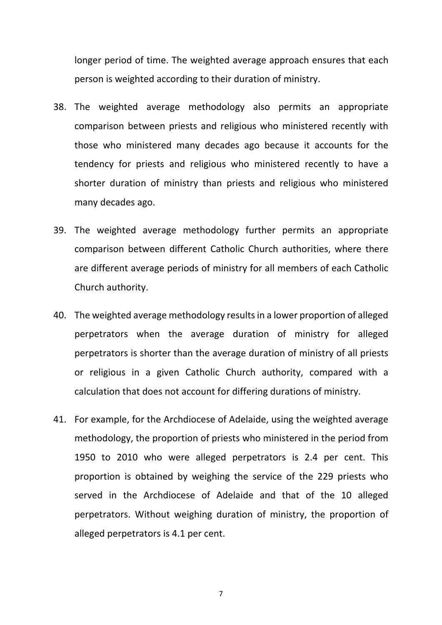longer period of time. The weighted average approach ensures that each person is weighted according to their duration of ministry.

- 38. The weighted average methodology also permits an appropriate comparison between priests and religious who ministered recently with those who ministered many decades ago because it accounts for the tendency for priests and religious who ministered recently to have a shorter duration of ministry than priests and religious who ministered many decades ago.
- 39. The weighted average methodology further permits an appropriate comparison between different Catholic Church authorities, where there are different average periods of ministry for all members of each Catholic Church authority.
- 40. The weighted average methodology resultsin a lower proportion of alleged perpetrators when the average duration of ministry for alleged perpetrators is shorter than the average duration of ministry of all priests or religious in a given Catholic Church authority, compared with a calculation that does not account for differing durations of ministry.
- 41. For example, for the Archdiocese of Adelaide, using the weighted average methodology, the proportion of priests who ministered in the period from 1950 to 2010 who were alleged perpetrators is 2.4 per cent. This proportion is obtained by weighing the service of the 229 priests who served in the Archdiocese of Adelaide and that of the 10 alleged perpetrators. Without weighing duration of ministry, the proportion of alleged perpetrators is 4.1 per cent.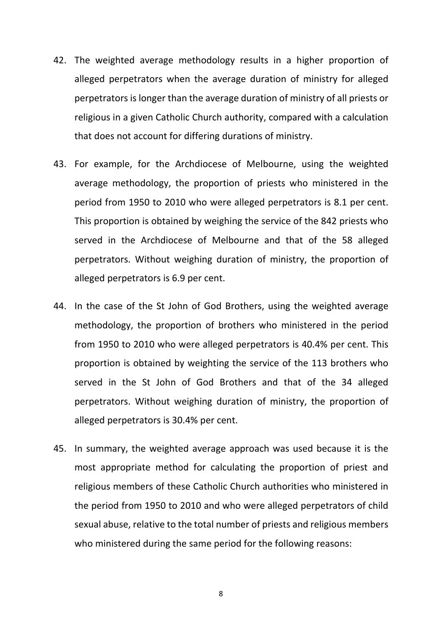- 42. The weighted average methodology results in a higher proportion of alleged perpetrators when the average duration of ministry for alleged perpetrators is longer than the average duration of ministry of all priests or religious in a given Catholic Church authority, compared with a calculation that does not account for differing durations of ministry.
- 43. For example, for the Archdiocese of Melbourne, using the weighted average methodology, the proportion of priests who ministered in the period from 1950 to 2010 who were alleged perpetrators is 8.1 per cent. This proportion is obtained by weighing the service of the 842 priests who served in the Archdiocese of Melbourne and that of the 58 alleged perpetrators. Without weighing duration of ministry, the proportion of alleged perpetrators is 6.9 per cent.
- 44. In the case of the St John of God Brothers, using the weighted average methodology, the proportion of brothers who ministered in the period from 1950 to 2010 who were alleged perpetrators is 40.4% per cent. This proportion is obtained by weighting the service of the 113 brothers who served in the St John of God Brothers and that of the 34 alleged perpetrators. Without weighing duration of ministry, the proportion of alleged perpetrators is 30.4% per cent.
- 45. In summary, the weighted average approach was used because it is the most appropriate method for calculating the proportion of priest and religious members of these Catholic Church authorities who ministered in the period from 1950 to 2010 and who were alleged perpetrators of child sexual abuse, relative to the total number of priests and religious members who ministered during the same period for the following reasons: